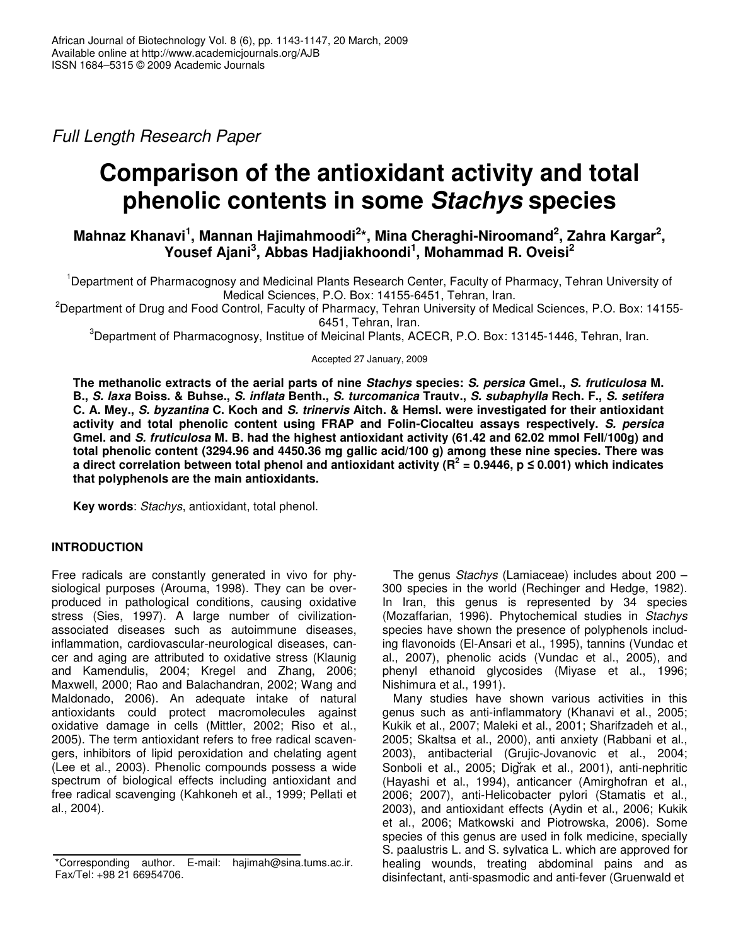*Full Length Research Paper*

# **Comparison of the antioxidant activity and total phenolic contents in some** *Stachys* **species**

## $\blacksquare$  Mahnaz Khanavi $^1$ , Mannan Hajimahmoodi $^{2*}$ , Mina Cheraghi-Niroomand $^2$ , Zahra Kargar $^2$ , **Yousef Ajani 3 , Abbas Hadjiakhoondi 1 , Mohammad R. Oveisi 2**

<sup>1</sup>Department of Pharmacognosy and Medicinal Plants Research Center, Faculty of Pharmacy, Tehran University of Medical Sciences, P.O. Box: 14155-6451, Tehran, Iran.

<sup>2</sup>Department of Drug and Food Control, Faculty of Pharmacy, Tehran University of Medical Sciences, P.O. Box: 14155-6451, Tehran, Iran.

<sup>3</sup>Department of Pharmacognosy, Institue of Meicinal Plants, ACECR, P.O. Box: 13145-1446, Tehran, Iran.

Accepted 27 January, 2009

**The methanolic extracts of the aerial parts of nine** *Stachys* **species:** *S. persica* **Gmel.,** *S. fruticulosa* **M.** B., S. laxa Boiss. & Buhse., S. inflata Benth., S. turcomanica Trautv., S. subaphylla Rech. F., S. setifera C. A. Mey., S. byzantina C. Koch and S. trinervis Aitch. & Hemsl. were investigated for their antioxidant **activity and total phenolic content using FRAP and Folin-Ciocalteu assays respectively.** *S. persica* **Gmel. and** *S. fruticulosa* **M. B. had the highest antioxidant activity (61.42 and 62.02 mmol FeII/100g) and total phenolic content (3294.96 and 4450.36 mg gallic acid/100 g) among these nine species. There was** a direct correlation between total phenol and antioxidant activity (R<sup>2</sup> = 0.9446, p ≤ 0.001) which indicates **that polyphenols are the main antioxidants.**

**Key words**: *Stachys*, antioxidant, total phenol.

## **INTRODUCTION**

Free radicals are constantly generated in vivo for physiological purposes (Arouma, 1998). They can be overproduced in pathological conditions, causing oxidative stress (Sies, 1997). A large number of civilizationassociated diseases such as autoimmune diseases, inflammation, cardiovascular-neurological diseases, cancer and aging are attributed to oxidative stress (Klaunig and Kamendulis, 2004; Kregel and Zhang, 2006; Maxwell, 2000; Rao and Balachandran, 2002; Wang and Maldonado, 2006). An adequate intake of natural antioxidants could protect macromolecules against oxidative damage in cells (Mittler, 2002; Riso et al., 2005). The term antioxidant refers to free radical scavengers, inhibitors of lipid peroxidation and chelating agent (Lee et al., 2003). Phenolic compounds possess a wide spectrum of biological effects including antioxidant and free radical scavenging (Kahkoneh et al., 1999; Pellati et al., 2004).

The genus *Stachys* (Lamiaceae) includes about 200 – 300 species in the world (Rechinger and Hedge, 1982). In Iran, this genus is represented by 34 species (Mozaffarian, 1996). Phytochemical studies in *Stachys* species have shown the presence of polyphenols including flavonoids (El-Ansari et al., 1995), tannins (Vundac et al., 2007), phenolic acids (Vundac et al., 2005), and phenyl ethanoid glycosides (Miyase et al., 1996; Nishimura et al., 1991).

Many studies have shown various activities in this genus such as anti-inflammatory (Khanavi et al., 2005; Kukik et al., 2007; Maleki et al., 2001; Sharifzadeh et al., 2005; Skaltsa et al., 2000), anti anxiety (Rabbani et al., 2003), antibacterial (Grujic-Jovanovic et al., 2004; Sonboli et al., 2005; Digrak et al., 2001), anti-nephritic (Hayashi et al., 1994), anticancer (Amirghofran et al., 2006; 2007), anti-Helicobacter pylori (Stamatis et al., 2003), and antioxidant effects (Aydin et al., 2006; Kukik et al., 2006; Matkowski and Piotrowska, 2006). Some species of this genus are used in folk medicine, specially S. paalustris L. and S. sylvatica L. which are approved for healing wounds, treating abdominal pains and as disinfectant, anti-spasmodic and anti-fever (Gruenwald et

<sup>\*</sup>Corresponding author. E-mail: hajimah@sina.tums.ac.ir. Fax/Tel: +98 21 66954706.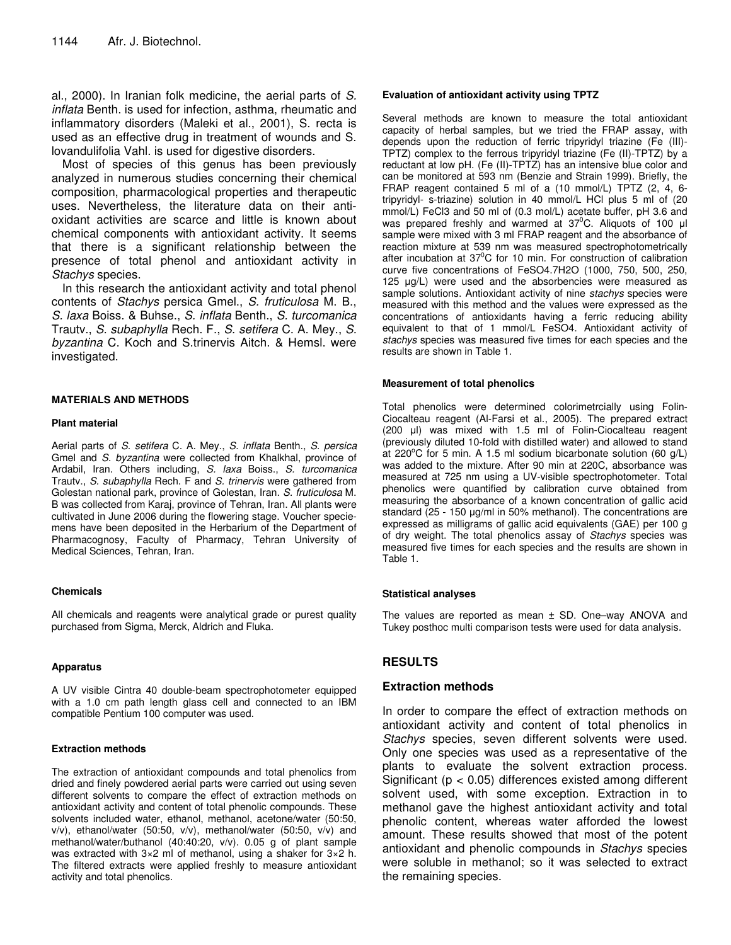al., 2000). In Iranian folk medicine, the aerial parts of *S. inflata* Benth. is used for infection, asthma, rheumatic and inflammatory disorders (Maleki et al., 2001), S. recta is used as an effective drug in treatment of wounds and S. lovandulifolia Vahl. is used for digestive disorders.

Most of species of this genus has been previously analyzed in numerous studies concerning their chemical composition, pharmacological properties and therapeutic uses. Nevertheless, the literature data on their antioxidant activities are scarce and little is known about chemical components with antioxidant activity. It seems that there is a significant relationship between the presence of total phenol and antioxidant activity in *Stachys* species.

In this research the antioxidant activity and total phenol contents of *Stachys* persica Gmel., *S. fruticulosa* M. B., *S. laxa* Boiss. & Buhse., *S. inflata* Benth., *S. turcomanica* Trautv., *S. subaphylla* Rech. F., *S. setifera* C. A. Mey., *S. byzantina* C. Koch and S.trinervis Aitch. & Hemsl. were investigated.

#### **MATERIALS AND METHODS**

#### **Plant material**

Aerial parts of *S. setifera* C. A. Mey., *S. inflata* Benth., *S. persica* Gmel and *S. byzantina* were collected from Khalkhal, province of Ardabil, Iran. Others including, *S. laxa* Boiss., *S. turcomanica* Trautv., *S. subaphylla* Rech. F and *S. trinervis* were gathered from Golestan national park, province of Golestan, Iran. *S. fruticulosa* M. B was collected from Karaj, province of Tehran, Iran. All plants were cultivated in June 2006 during the flowering stage. Voucher speciemens have been deposited in the Herbarium of the Department of Pharmacognosy, Faculty of Pharmacy, Tehran University of Medical Sciences, Tehran, Iran.

#### **Chemicals**

All chemicals and reagents were analytical grade or purest quality purchased from Sigma, Merck, Aldrich and Fluka.

#### **Apparatus**

A UV visible Cintra 40 double-beam spectrophotometer equipped with a 1.0 cm path length glass cell and connected to an IBM compatible Pentium 100 computer was used.

#### **Extraction methods**

The extraction of antioxidant compounds and total phenolics from dried and finely powdered aerial parts were carried out using seven different solvents to compare the effect of extraction methods on antioxidant activity and content of total phenolic compounds. These solvents included water, ethanol, methanol, acetone/water (50:50, v/v), ethanol/water (50:50, v/v), methanol/water (50:50, v/v) and methanol/water/buthanol (40:40:20, v/v). 0.05 g of plant sample was extracted with 3×2 ml of methanol, using a shaker for 3×2 h. The filtered extracts were applied freshly to measure antioxidant activity and total phenolics.

#### **Evaluation of antioxidant activity using TPTZ**

Several methods are known to measure the total antioxidant capacity of herbal samples, but we tried the FRAP assay, with depends upon the reduction of ferric tripyridyl triazine (Fe (III)- TPTZ) complex to the ferrous tripyridyl triazine (Fe (II)-TPTZ) by a reductant at low pH. (Fe (II)-TPTZ) has an intensive blue color and can be monitored at 593 nm (Benzie and Strain 1999). Briefly, the FRAP reagent contained 5 ml of a (10 mmol/L) TPTZ (2, 4, 6 tripyridyl- s-triazine) solution in 40 mmol/L HCl plus 5 ml of (20 mmol/L) FeCl3 and 50 ml of (0.3 mol/L) acetate buffer, pH 3.6 and was prepared freshly and warmed at  $37^{\circ}$ C. Aliquots of 100  $\mu$ l sample were mixed with 3 ml FRAP reagent and the absorbance of reaction mixture at 539 nm was measured spectrophotometrically after incubation at 37°C for 10 min. For construction of calibration curve five concentrations of FeSO4.7H2O (1000, 750, 500, 250, 125  $\mu$ g/L) were used and the absorbencies were measured as sample solutions. Antioxidant activity of nine *stachys* species were measured with this method and the values were expressed as the concentrations of antioxidants having a ferric reducing ability equivalent to that of 1 mmol/L FeSO4. Antioxidant activity of *stachys* species was measured five times for each species and the results are shown in Table 1.

#### **Measurement of total phenolics**

Total phenolics were determined colorimetrcially using Folin-Ciocalteau reagent (Al-Farsi et al., 2005). The prepared extract (200 µl) was mixed with 1.5 ml of Folin-Ciocalteau reagent (previously diluted 10-fold with distilled water) and allowed to stand at 220°C for 5 min. A 1.5 ml sodium bicarbonate solution (60 g/L) was added to the mixture. After 90 min at 220C, absorbance was measured at 725 nm using a UV-visible spectrophotometer. Total phenolics were quantified by calibration curve obtained from measuring the absorbance of a known concentration of gallic acid standard (25 - 150  $\mu$ g/ml in 50% methanol). The concentrations are expressed as milligrams of gallic acid equivalents (GAE) per 100 g of dry weight. The total phenolics assay of *Stachys* species was measured five times for each species and the results are shown in Table 1.

#### **Statistical analyses**

The values are reported as mean  $\pm$  SD. One–way ANOVA and Tukey posthoc multi comparison tests were used for data analysis.

## **RESULTS**

## **Extraction methods**

In order to compare the effect of extraction methods on antioxidant activity and content of total phenolics in *Stachys* species, seven different solvents were used. Only one species was used as a representative of the plants to evaluate the solvent extraction process. Significant ( $p < 0.05$ ) differences existed among different solvent used, with some exception. Extraction in to methanol gave the highest antioxidant activity and total phenolic content, whereas water afforded the lowest amount. These results showed that most of the potent antioxidant and phenolic compounds in *Stachys* species were soluble in methanol; so it was selected to extract the remaining species.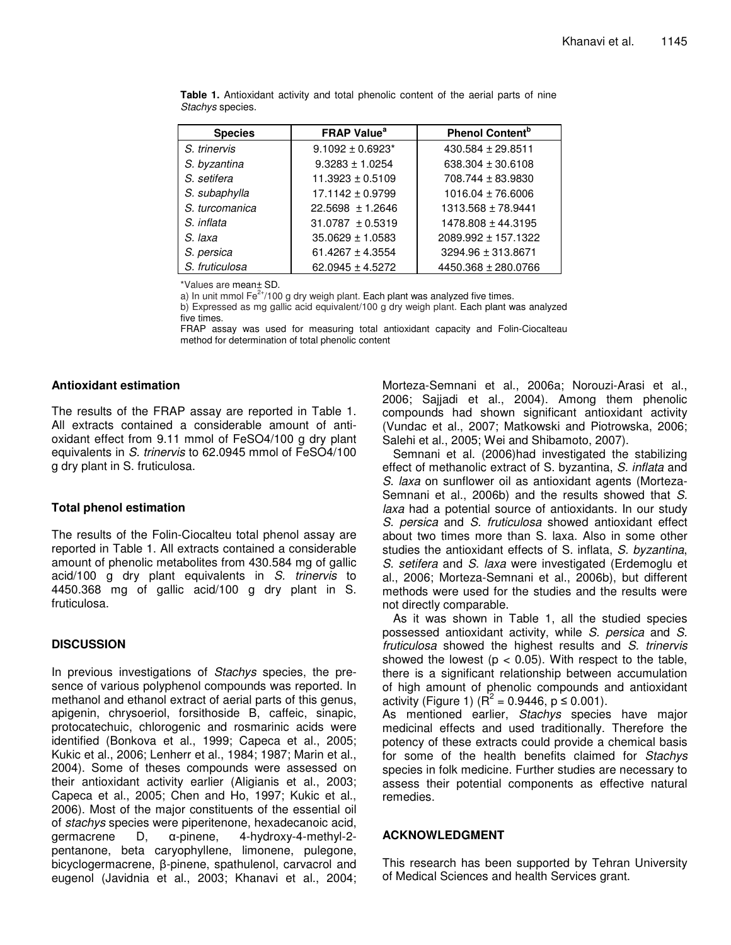| <b>Species</b> | <b>FRAP Value</b> <sup>ª</sup> | <b>Phenol Content</b> <sup>b</sup> |
|----------------|--------------------------------|------------------------------------|
| S. trinervis   | $9.1092 \pm 0.6923^*$          | $430.584 \pm 29.8511$              |
| S. byzantina   | $9.3283 \pm 1.0254$            | 638.304 ± 30.6108                  |
| S. setifera    | $11.3923 \pm 0.5109$           | 708.744 ± 83.9830                  |
| S. subaphylla  | $17.1142 \pm 0.9799$           | $1016.04 \pm 76.6006$              |
| S. turcomanica | $22.5698 \pm 1.2646$           | 1313.568 ± 78.9441                 |
| S. inflata     | $31.0787 \pm 0.5319$           | 1478.808 ± 44.3195                 |
| S. laxa        | $35.0629 \pm 1.0583$           | 2089.992 ± 157.1322                |
| S. persica     | $61.4267 \pm 4.3554$           | 3294.96 ± 313.8671                 |
| S. fruticulosa | $62.0945 \pm 4.5272$           | 4450.368 ± 280.0766                |

**Table 1.** Antioxidant activity and total phenolic content of the aerial parts of nine *Stachys* species.

\*Values are mean± SD.

a) In unit mmol Fe $^{2+}/100$  g dry weigh plant. Each plant was analyzed five times.

b) Expressed as mg gallic acid equivalent/100 g dry weigh plant. Each plant was analyzed five times.

FRAP assay was used for measuring total antioxidant capacity and Folin-Ciocalteau method for determination of total phenolic content

## **Antioxidant estimation**

The results of the FRAP assay are reported in Table 1. All extracts contained a considerable amount of antioxidant effect from 9.11 mmol of FeSO4/100 g dry plant equivalents in *S. trinervis* to 62.0945 mmol of FeSO4/100 g dry plant in S. fruticulosa.

## **Total phenol estimation**

The results of the Folin-Ciocalteu total phenol assay are reported in Table 1. All extracts contained a considerable amount of phenolic metabolites from 430.584 mg of gallic acid/100 g dry plant equivalents in *S. trinervis* to 4450.368 mg of gallic acid/100 g dry plant in S. fruticulosa.

## **DISCUSSION**

In previous investigations of *Stachys* species, the presence of various polyphenol compounds was reported. In methanol and ethanol extract of aerial parts of this genus, apigenin, chrysoeriol, forsithoside B, caffeic, sinapic, protocatechuic, chlorogenic and rosmarinic acids were identified (Bonkova et al., 1999; Capeca et al., 2005; Kukic et al., 2006; Lenherr et al., 1984; 1987; Marin et al., 2004). Some of theses compounds were assessed on their antioxidant activity earlier (Aligianis et al., 2003; Capeca et al., 2005; Chen and Ho, 1997; Kukic et al., 2006). Most of the major constituents of the essential oil of *stachys* species were piperitenone, hexadecanoic acid, germacrene  $D, \alpha$ -pinene, -pinene, 4-hydroxy-4-methyl-2 pentanone, beta caryophyllene, limonene, pulegone, bicyclogermacrene,  $\beta$ -pinene, spathulenol, carvacrol and eugenol (Javidnia et al., 2003; Khanavi et al., 2004; Morteza-Semnani et al., 2006a; Norouzi-Arasi et al., 2006; Sajjadi et al., 2004). Among them phenolic compounds had shown significant antioxidant activity (Vundac et al., 2007; Matkowski and Piotrowska, 2006; Salehi et al., 2005; Wei and Shibamoto, 2007).

Semnani et al. (2006)had investigated the stabilizing effect of methanolic extract of S. byzantina, *S. inflata* and *S. laxa* on sunflower oil as antioxidant agents (Morteza-Semnani et al., 2006b) and the results showed that *S. laxa* had a potential source of antioxidants. In our study *S. persica* and *S. fruticulosa* showed antioxidant effect about two times more than S. laxa. Also in some other studies the antioxidant effects of S. inflata, *S. byzantina*, *S. setifera* and *S. laxa* were investigated (Erdemoglu et al., 2006; Morteza-Semnani et al., 2006b), but different methods were used for the studies and the results were not directly comparable.

As it was shown in Table 1, all the studied species possessed antioxidant activity, while *S. persica* and *S. fruticulosa* showed the highest results and *S. trinervis* showed the lowest ( $p < 0.05$ ). With respect to the table, there is a significant relationship between accumulation of high amount of phenolic compounds and antioxidant activity (Figure 1) ( $R^2 = 0.9446$ , p  $\leq 0.001$ ).

As mentioned earlier, *Stachys* species have major medicinal effects and used traditionally. Therefore the potency of these extracts could provide a chemical basis for some of the health benefits claimed for *Stachys* species in folk medicine. Further studies are necessary to assess their potential components as effective natural remedies.

## **ACKNOWLEDGMENT**

This research has been supported by Tehran University of Medical Sciences and health Services grant.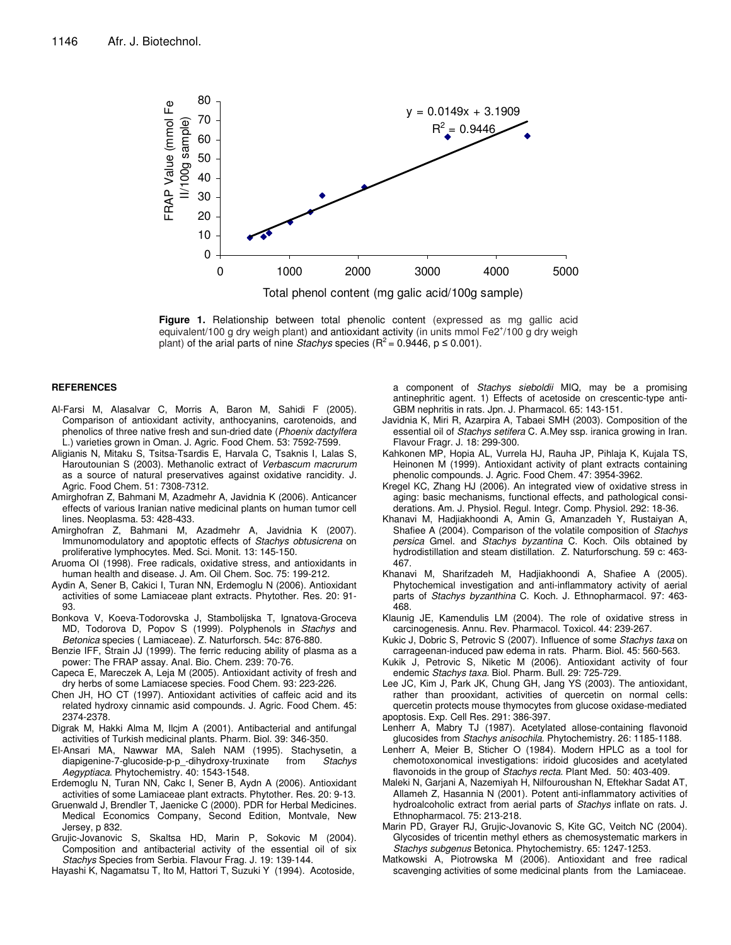

**Figure 1.** Relationship between total phenolic content (expressed as mg gallic acid equivalent/100 g dry weigh plant) and antioxidant activity (in units mmol Fe2+/100 g dry weigh plant) of the arial parts of nine *Stachys* species ( $R^2$  = 0.9446,  $p \le 0.001$ ).

#### **REFERENCES**

- Al-Farsi M, Alasalvar C, Morris A, Baron M, Sahidi F (2005). Comparison of antioxidant activity, anthocyanins, carotenoids, and phenolics of three native fresh and sun-dried date (*Phoenix dactylfera* L.) varieties grown in Oman. J. Agric. Food Chem. 53: 7592-7599.
- Aligianis N, Mitaku S, Tsitsa-Tsardis E, Harvala C, Tsaknis I, Lalas S, Haroutounian S (2003). Methanolic extract of *Verbascum macrurum* as a source of natural preservatives against oxidative rancidity. J. Agric. Food Chem. 51: 7308-7312.
- Amirghofran Z, Bahmani M, Azadmehr A, Javidnia K (2006). Anticancer effects of various Iranian native medicinal plants on human tumor cell lines. Neoplasma. 53: 428-433.
- Amirghofran Z, Bahmani M, Azadmehr A, Javidnia K (2007). Immunomodulatory and apoptotic effects of *Stachys obtusicrena* on proliferative lymphocytes. Med. Sci. Monit. 13: 145-150.
- Aruoma OI (1998). Free radicals, oxidative stress, and antioxidants in human health and disease. J. Am. Oil Chem. Soc. 75: 199-212.
- Aydin A, Sener B, Cakici I, Turan NN, Erdemoglu N (2006). Antioxidant activities of some Lamiaceae plant extracts. Phytother. Res. 20: 91- 93.
- Bonkova V, Koeva-Todorovska J, Stambolijska T, Ignatova-Groceva MD, Todorova D, Popov S (1999). Polyphenols in *Stachys* and *Betonica* species ( Lamiaceae). Z. Naturforsch. 54c: 876-880.
- Benzie IFF, Strain JJ (1999). The ferric reducing ability of plasma as a power: The FRAP assay. Anal. Bio. Chem. 239: 70-76.
- Capeca E, Mareczek A, Leja M (2005). Antioxidant activity of fresh and dry herbs of some Lamiacese species. Food Chem. 93: 223-226.
- Chen JH, HO CT (1997). Antioxidant activities of caffeic acid and its related hydroxy cinnamic asid compounds. J. Agric. Food Chem. 45: 2374-2378.
- Digrak M, Hakki Alma M, Ilcjm A (2001). Antibacterial and antifungal activities of Turkish medicinal plants. Pharm. Biol. 39: 346-350.
- El-Ansari MA, Nawwar MA, Saleh NAM (1995). Stachysetin, a diapigenine-7-glucoside-p-p\_-dihydroxy-truxinate from *Stachys Aegyptiaca*. Phytochemistry. 40: 1543-1548.
- Erdemoglu N, Turan NN, Cakc I, Sener B, Aydn A (2006). Antioxidant activities of some Lamiaceae plant extracts. Phytother. Res. 20: 9-13.
- Gruenwald J, Brendler T, Jaenicke C (2000). PDR for Herbal Medicines. Medical Economics Company, Second Edition, Montvale, New Jersey, p 832.
- Grujic-Jovanovic S, Skaltsa HD, Marin P, Sokovic M (2004). Composition and antibacterial activity of the essential oil of six *Stachys* Species from Serbia. Flavour Frag. J. 19: 139-144.

Hayashi K, Nagamatsu T, Ito M, Hattori T, Suzuki Y (1994). Acotoside,

a component of *Stachys sieboldii* MIQ, may be a promising antinephritic agent. 1) Effects of acetoside on crescentic-type anti-GBM nephritis in rats. Jpn. J. Pharmacol. 65: 143-151.

- Javidnia K, Miri R, Azarpira A, Tabaei SMH (2003). Composition of the essential oil of *Stachys setifera* C. A.Mey ssp. iranica growing in Iran. Flavour Fragr. J. 18: 299-300.
- Kahkonen MP, Hopia AL, Vurrela HJ, Rauha JP, Pihlaja K, Kujala TS, Heinonen M (1999). Antioxidant activity of plant extracts containing phenolic compounds. J. Agric. Food Chem. 47: 3954-3962.
- Kregel KC, Zhang HJ (2006). An integrated view of oxidative stress in aging: basic mechanisms, functional effects, and pathological considerations. Am. J. Physiol. Regul. Integr. Comp. Physiol. 292: 18-36.
- Khanavi M, Hadjiakhoondi A, Amin G, Amanzadeh Y, Rustaiyan A, Shafiee A (2004). Comparison of the volatile composition of *Stachys persica* Gmel. and *Stachys byzantina* C. Koch. Oils obtained by hydrodistillation and steam distillation. Z. Naturforschung. 59 c: 463- 467.
- Khanavi M, Sharifzadeh M, Hadjiakhoondi A, Shafiee A (2005). Phytochemical investigation and anti-inflammatory activity of aerial parts of *Stachys byzanthina* C. Koch. J. Ethnopharmacol. 97: 463- 468.
- Klaunig JE, Kamendulis LM (2004). The role of oxidative stress in carcinogenesis. Annu. Rev. Pharmacol. Toxicol. 44: 239-267.
- Kukic J, Dobric S, Petrovic S (2007). Influence of some *Stachys taxa* on carrageenan-induced paw edema in rats. Pharm. Biol. 45: 560-563.
- Kukik J, Petrovic S, Niketic M (2006). Antioxidant activity of four endemic *Stachys taxa*. Biol. Pharm. Bull. 29: 725-729.
- Lee JC, Kim J, Park JK, Chung GH, Jang YS (2003). The antioxidant, rather than prooxidant, activities of quercetin on normal cells: quercetin protects mouse thymocytes from glucose oxidase-mediated apoptosis. Exp. Cell Res. 291: 386-397.
- Lenherr A, Mabry TJ (1987). Acetylated allose-containing flavonoid glucosides from *Stachys anisochila*. Phytochemistry. 26: 1185-1188.
- Lenherr A, Meier B, Sticher O (1984). Modern HPLC as a tool for chemotoxonomical investigations: iridoid glucosides and acetylated flavonoids in the group of *Stachys recta*. Plant Med. 50: 403-409.
- Maleki N, Garjani A, Nazemiyah H, Nilfouroushan N, Eftekhar Sadat AT, Allameh Z, Hasannia N (2001). Potent anti-inflammatory activities of hydroalcoholic extract from aerial parts of *Stachys* inflate on rats. J. Ethnopharmacol. 75: 213-218.
- Marin PD, Grayer RJ, Grujic-Jovanovic S, Kite GC, Veitch NC (2004). Glycosides of tricentin methyl ethers as chemosystematic markers in *Stachys subgenus* Betonica. Phytochemistry. 65: 1247-1253.
- Matkowski A, Piotrowska M (2006). Antioxidant and free radical scavenging activities of some medicinal plants from the Lamiaceae.